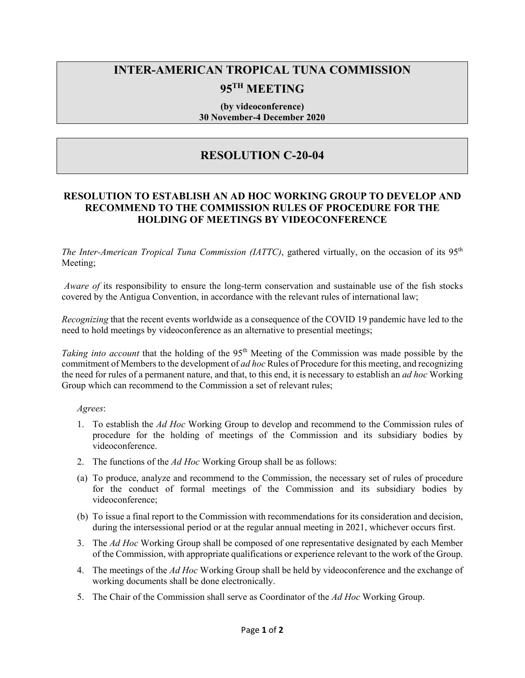# **INTER-AMERICAN TROPICAL TUNA COMMISSION**

## **95TH MEETING**

#### **(by videoconference) 30 November-4 December 2020**

### **RESOLUTION C-20-04**

### **RESOLUTION TO ESTABLISH AN AD HOC WORKING GROUP TO DEVELOP AND RECOMMEND TO THE COMMISSION RULES OF PROCEDURE FOR THE HOLDING OF MEETINGS BY VIDEOCONFERENCE**

*The Inter-American Tropical Tuna Commission (IATTC)*, gathered virtually, on the occasion of its 95th Meeting;

*Aware of its responsibility to ensure the long-term conservation and sustainable use of the fish stocks* covered by the Antigua Convention, in accordance with the relevant rules of international law;

*Recognizing* that the recent events worldwide as a consequence of the COVID 19 pandemic have led to the need to hold meetings by videoconference as an alternative to presential meetings;

*Taking into account* that the holding of the 95<sup>th</sup> Meeting of the Commission was made possible by the commitment of Members to the development of *ad hoc* Rules of Procedure for this meeting, and recognizing the need for rules of a permanent nature, and that, to this end, it is necessary to establish an *ad hoc* Working Group which can recommend to the Commission a set of relevant rules;

#### *Agrees*:

- 1. To establish the *Ad Hoc* Working Group to develop and recommend to the Commission rules of procedure for the holding of meetings of the Commission and its subsidiary bodies by videoconference.
- 2. The functions of the *Ad Hoc* Working Group shall be as follows:
- (a) To produce, analyze and recommend to the Commission, the necessary set of rules of procedure for the conduct of formal meetings of the Commission and its subsidiary bodies by videoconference;
- (b) To issue a final report to the Commission with recommendations for its consideration and decision, during the intersessional period or at the regular annual meeting in 2021, whichever occurs first.
- 3. The *Ad Hoc* Working Group shall be composed of one representative designated by each Member of the Commission, with appropriate qualifications or experience relevant to the work of the Group.
- 4. The meetings of the *Ad Hoc* Working Group shall be held by videoconference and the exchange of working documents shall be done electronically.
- 5. The Chair of the Commission shall serve as Coordinator of the *Ad Hoc* Working Group.